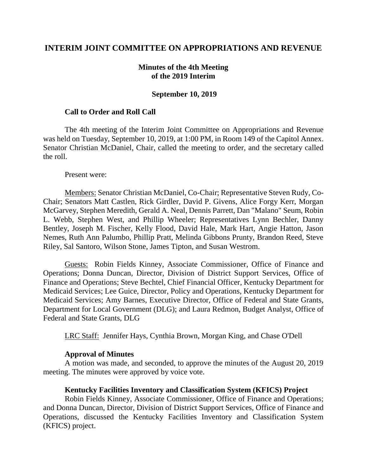## **INTERIM JOINT COMMITTEE ON APPROPRIATIONS AND REVENUE**

### **Minutes of the 4th Meeting of the 2019 Interim**

#### **September 10, 2019**

#### **Call to Order and Roll Call**

The 4th meeting of the Interim Joint Committee on Appropriations and Revenue was held on Tuesday, September 10, 2019, at 1:00 PM, in Room 149 of the Capitol Annex. Senator Christian McDaniel, Chair, called the meeting to order, and the secretary called the roll.

Present were:

Members: Senator Christian McDaniel, Co-Chair; Representative Steven Rudy, Co-Chair; Senators Matt Castlen, Rick Girdler, David P. Givens, Alice Forgy Kerr, Morgan McGarvey, Stephen Meredith, Gerald A. Neal, Dennis Parrett, Dan "Malano" Seum, Robin L. Webb, Stephen West, and Phillip Wheeler; Representatives Lynn Bechler, Danny Bentley, Joseph M. Fischer, Kelly Flood, David Hale, Mark Hart, Angie Hatton, Jason Nemes, Ruth Ann Palumbo, Phillip Pratt, Melinda Gibbons Prunty, Brandon Reed, Steve Riley, Sal Santoro, Wilson Stone, James Tipton, and Susan Westrom.

Guests: Robin Fields Kinney, Associate Commissioner, Office of Finance and Operations; Donna Duncan, Director, Division of District Support Services, Office of Finance and Operations; Steve Bechtel, Chief Financial Officer, Kentucky Department for Medicaid Services; Lee Guice, Director, Policy and Operations, Kentucky Department for Medicaid Services; Amy Barnes, Executive Director, Office of Federal and State Grants, Department for Local Government (DLG); and Laura Redmon, Budget Analyst, Office of Federal and State Grants, DLG

LRC Staff: Jennifer Hays, Cynthia Brown, Morgan King, and Chase O'Dell

#### **Approval of Minutes**

A motion was made, and seconded, to approve the minutes of the August 20, 2019 meeting. The minutes were approved by voice vote.

### **Kentucky Facilities Inventory and Classification System (KFICS) Project**

Robin Fields Kinney, Associate Commissioner, Office of Finance and Operations; and Donna Duncan, Director, Division of District Support Services, Office of Finance and Operations, discussed the Kentucky Facilities Inventory and Classification System (KFICS) project.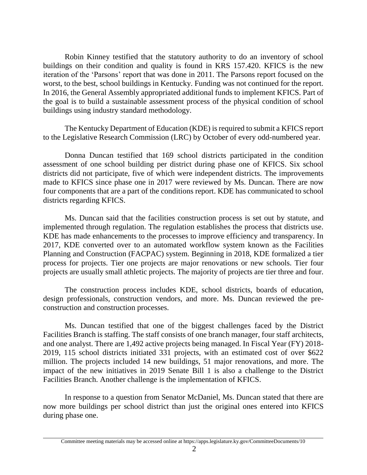Robin Kinney testified that the statutory authority to do an inventory of school buildings on their condition and quality is found in KRS 157.420. KFICS is the new iteration of the 'Parsons' report that was done in 2011. The Parsons report focused on the worst, to the best, school buildings in Kentucky. Funding was not continued for the report. In 2016, the General Assembly appropriated additional funds to implement KFICS. Part of the goal is to build a sustainable assessment process of the physical condition of school buildings using industry standard methodology.

The Kentucky Department of Education (KDE) is required to submit a KFICS report to the Legislative Research Commission (LRC) by October of every odd-numbered year.

Donna Duncan testified that 169 school districts participated in the condition assessment of one school building per district during phase one of KFICS. Six school districts did not participate, five of which were independent districts. The improvements made to KFICS since phase one in 2017 were reviewed by Ms. Duncan. There are now four components that are a part of the conditions report. KDE has communicated to school districts regarding KFICS.

Ms. Duncan said that the facilities construction process is set out by statute, and implemented through regulation. The regulation establishes the process that districts use. KDE has made enhancements to the processes to improve efficiency and transparency. In 2017, KDE converted over to an automated workflow system known as the Facilities Planning and Construction (FACPAC) system. Beginning in 2018, KDE formalized a tier process for projects. Tier one projects are major renovations or new schools. Tier four projects are usually small athletic projects. The majority of projects are tier three and four.

The construction process includes KDE, school districts, boards of education, design professionals, construction vendors, and more. Ms. Duncan reviewed the preconstruction and construction processes.

Ms. Duncan testified that one of the biggest challenges faced by the District Facilities Branch is staffing. The staff consists of one branch manager, four staff architects, and one analyst. There are 1,492 active projects being managed. In Fiscal Year (FY) 2018- 2019, 115 school districts initiated 331 projects, with an estimated cost of over \$622 million. The projects included 14 new buildings, 51 major renovations, and more. The impact of the new initiatives in 2019 Senate Bill 1 is also a challenge to the District Facilities Branch. Another challenge is the implementation of KFICS.

In response to a question from Senator McDaniel, Ms. Duncan stated that there are now more buildings per school district than just the original ones entered into KFICS during phase one.

Committee meeting materials may be accessed online at https://apps.legislature.ky.gov/CommitteeDocuments/10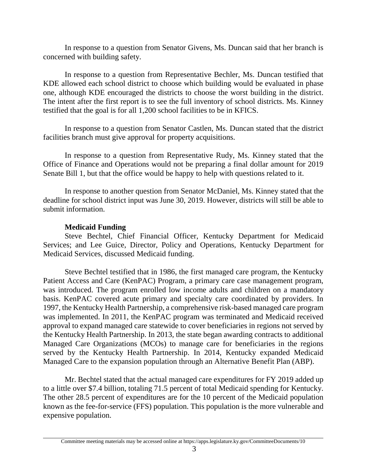In response to a question from Senator Givens, Ms. Duncan said that her branch is concerned with building safety.

In response to a question from Representative Bechler, Ms. Duncan testified that KDE allowed each school district to choose which building would be evaluated in phase one, although KDE encouraged the districts to choose the worst building in the district. The intent after the first report is to see the full inventory of school districts. Ms. Kinney testified that the goal is for all 1,200 school facilities to be in KFICS.

In response to a question from Senator Castlen, Ms. Duncan stated that the district facilities branch must give approval for property acquisitions.

In response to a question from Representative Rudy, Ms. Kinney stated that the Office of Finance and Operations would not be preparing a final dollar amount for 2019 Senate Bill 1, but that the office would be happy to help with questions related to it.

In response to another question from Senator McDaniel, Ms. Kinney stated that the deadline for school district input was June 30, 2019. However, districts will still be able to submit information.

## **Medicaid Funding**

Steve Bechtel, Chief Financial Officer, Kentucky Department for Medicaid Services; and Lee Guice, Director, Policy and Operations, Kentucky Department for Medicaid Services, discussed Medicaid funding.

Steve Bechtel testified that in 1986, the first managed care program, the Kentucky Patient Access and Care (KenPAC) Program, a primary care case management program, was introduced. The program enrolled low income adults and children on a mandatory basis. KenPAC covered acute primary and specialty care coordinated by providers. In 1997, the Kentucky Health Partnership, a comprehensive risk-based managed care program was implemented. In 2011, the KenPAC program was terminated and Medicaid received approval to expand managed care statewide to cover beneficiaries in regions not served by the Kentucky Health Partnership. In 2013, the state began awarding contracts to additional Managed Care Organizations (MCOs) to manage care for beneficiaries in the regions served by the Kentucky Health Partnership. In 2014, Kentucky expanded Medicaid Managed Care to the expansion population through an Alternative Benefit Plan (ABP).

Mr. Bechtel stated that the actual managed care expenditures for FY 2019 added up to a little over \$7.4 billion, totaling 71.5 percent of total Medicaid spending for Kentucky. The other 28.5 percent of expenditures are for the 10 percent of the Medicaid population known as the fee-for-service (FFS) population. This population is the more vulnerable and expensive population.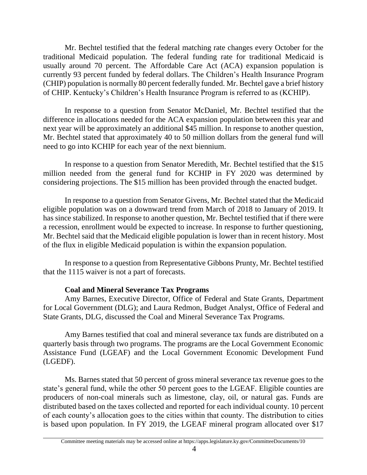Mr. Bechtel testified that the federal matching rate changes every October for the traditional Medicaid population. The federal funding rate for traditional Medicaid is usually around 70 percent. The Affordable Care Act (ACA) expansion population is currently 93 percent funded by federal dollars. The Children's Health Insurance Program (CHIP) population is normally 80 percent federally funded. Mr. Bechtel gave a brief history of CHIP. Kentucky's Children's Health Insurance Program is referred to as (KCHIP).

In response to a question from Senator McDaniel, Mr. Bechtel testified that the difference in allocations needed for the ACA expansion population between this year and next year will be approximately an additional \$45 million. In response to another question, Mr. Bechtel stated that approximately 40 to 50 million dollars from the general fund will need to go into KCHIP for each year of the next biennium.

In response to a question from Senator Meredith, Mr. Bechtel testified that the \$15 million needed from the general fund for KCHIP in FY 2020 was determined by considering projections. The \$15 million has been provided through the enacted budget.

In response to a question from Senator Givens, Mr. Bechtel stated that the Medicaid eligible population was on a downward trend from March of 2018 to January of 2019. It has since stabilized. In response to another question, Mr. Bechtel testified that if there were a recession, enrollment would be expected to increase. In response to further questioning, Mr. Bechtel said that the Medicaid eligible population is lower than in recent history. Most of the flux in eligible Medicaid population is within the expansion population.

In response to a question from Representative Gibbons Prunty, Mr. Bechtel testified that the 1115 waiver is not a part of forecasts.

# **Coal and Mineral Severance Tax Programs**

Amy Barnes, Executive Director, Office of Federal and State Grants, Department for Local Government (DLG); and Laura Redmon, Budget Analyst, Office of Federal and State Grants, DLG, discussed the Coal and Mineral Severance Tax Programs.

Amy Barnes testified that coal and mineral severance tax funds are distributed on a quarterly basis through two programs. The programs are the Local Government Economic Assistance Fund (LGEAF) and the Local Government Economic Development Fund (LGEDF).

Ms. Barnes stated that 50 percent of gross mineral severance tax revenue goes to the state's general fund, while the other 50 percent goes to the LGEAF. Eligible counties are producers of non-coal minerals such as limestone, clay, oil, or natural gas. Funds are distributed based on the taxes collected and reported for each individual county. 10 percent of each county's allocation goes to the cities within that county. The distribution to cities is based upon population. In FY 2019, the LGEAF mineral program allocated over \$17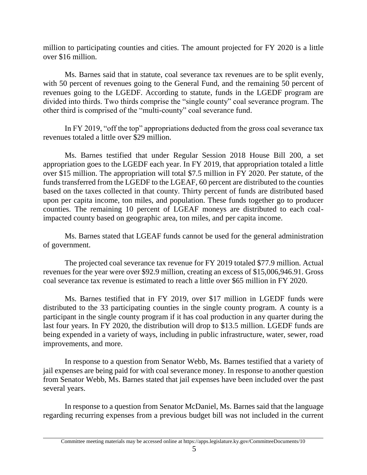million to participating counties and cities. The amount projected for FY 2020 is a little over \$16 million.

Ms. Barnes said that in statute, coal severance tax revenues are to be split evenly, with 50 percent of revenues going to the General Fund, and the remaining 50 percent of revenues going to the LGEDF. According to statute, funds in the LGEDF program are divided into thirds. Two thirds comprise the "single county" coal severance program. The other third is comprised of the "multi-county" coal severance fund.

In FY 2019, "off the top" appropriations deducted from the gross coal severance tax revenues totaled a little over \$29 million.

Ms. Barnes testified that under Regular Session 2018 House Bill 200, a set appropriation goes to the LGEDF each year. In FY 2019, that appropriation totaled a little over \$15 million. The appropriation will total \$7.5 million in FY 2020. Per statute, of the funds transferred from the LGEDF to the LGEAF, 60 percent are distributed to the counties based on the taxes collected in that county. Thirty percent of funds are distributed based upon per capita income, ton miles, and population. These funds together go to producer counties. The remaining 10 percent of LGEAF moneys are distributed to each coalimpacted county based on geographic area, ton miles, and per capita income.

Ms. Barnes stated that LGEAF funds cannot be used for the general administration of government.

The projected coal severance tax revenue for FY 2019 totaled \$77.9 million. Actual revenues for the year were over \$92.9 million, creating an excess of \$15,006,946.91. Gross coal severance tax revenue is estimated to reach a little over \$65 million in FY 2020.

Ms. Barnes testified that in FY 2019, over \$17 million in LGEDF funds were distributed to the 33 participating counties in the single county program. A county is a participant in the single county program if it has coal production in any quarter during the last four years. In FY 2020, the distribution will drop to \$13.5 million. LGEDF funds are being expended in a variety of ways, including in public infrastructure, water, sewer, road improvements, and more.

In response to a question from Senator Webb, Ms. Barnes testified that a variety of jail expenses are being paid for with coal severance money. In response to another question from Senator Webb, Ms. Barnes stated that jail expenses have been included over the past several years.

In response to a question from Senator McDaniel, Ms. Barnes said that the language regarding recurring expenses from a previous budget bill was not included in the current